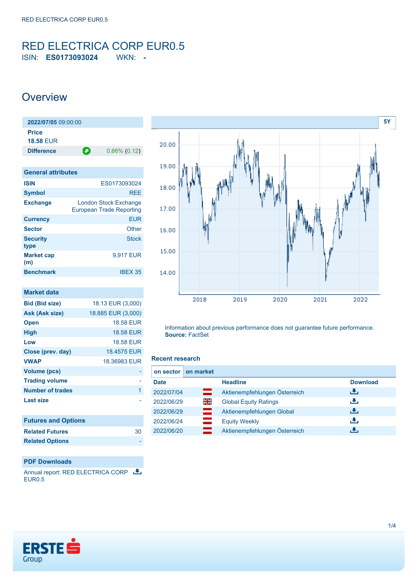# <span id="page-0-0"></span>RED ELECTRICA CORP EUR0.5

ISIN: **ES0173093024** WKN: **-**

### **Overview**

**2022/07/05** 09:00:00 **Price 18.58** EUR **Difference 0.66% (0.12)** 

| <b>General attributes</b> |                                                          |
|---------------------------|----------------------------------------------------------|
| <b>ISIN</b>               | FS0173093024                                             |
| <b>Symbol</b>             | RFF                                                      |
| <b>Exchange</b>           | <b>London Stock Exchange</b><br>European Trade Reporting |
| <b>Currency</b>           | <b>EUR</b>                                               |
| <b>Sector</b>             | Other                                                    |
| <b>Security</b><br>type   | <b>Stock</b>                                             |
| <b>Market cap</b><br>(m)  | 9,917 EUR                                                |
| <b>Benchmark</b>          | <b>IBFX 35</b>                                           |

| <b>Market data</b>      |                    |
|-------------------------|--------------------|
| <b>Bid (Bid size)</b>   | 18.13 EUR (3,000)  |
| Ask (Ask size)          | 18.885 EUR (3,000) |
| <b>Open</b>             | <b>18.58 FUR</b>   |
| <b>High</b>             | <b>18.58 EUR</b>   |
| Low                     | <b>18.58 FUR</b>   |
| Close (prev. day)       | 18.4575 EUR        |
| <b>VWAP</b>             | 18.36983 EUR       |
| <b>Volume (pcs)</b>     |                    |
| <b>Trading volume</b>   |                    |
| <b>Number of trades</b> |                    |
| Last size               |                    |

| <b>Futures and Options</b> |    |
|----------------------------|----|
| <b>Related Futures</b>     | 30 |
| <b>Related Options</b>     |    |

### **PDF Downloads**

Annual report: RED ELECTRICA CORP EUR0.5



Information about previous performance does not guarantee future performance. **Source:** FactSet

#### **Recent research**

| on sector   | on market |                               |                 |
|-------------|-----------|-------------------------------|-----------------|
| <b>Date</b> |           | <b>Headline</b>               | <b>Download</b> |
| 2022/07/04  | ▀         | Aktienempfehlungen Österreich | رنان            |
| 2022/06/29  | 꾉뚢        | <b>Global Equity Ratings</b>  | رنان            |
| 2022/06/29  | ш         | Aktienempfehlungen Global     | رنان            |
| 2022/06/24  |           | <b>Equity Weekly</b>          | æ,              |
| 2022/06/20  |           | Aktienempfehlungen Österreich | J.              |

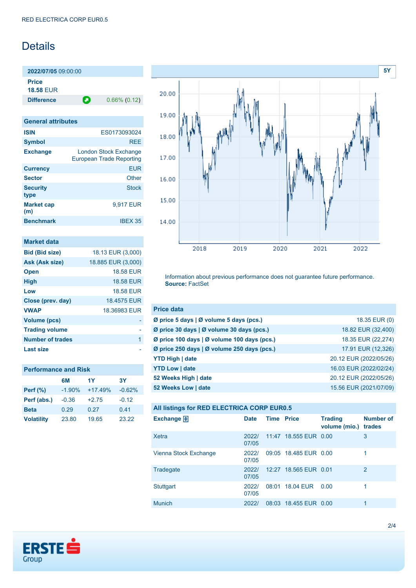## Details

**2022/07/05** 09:00:00 **Price**

**18.58** EUR

**Difference 0.66% (0.12)** 

| <b>General attributes</b> |                                                          |
|---------------------------|----------------------------------------------------------|
| <b>ISIN</b>               | FS0173093024                                             |
| <b>Symbol</b>             | <b>RFF</b>                                               |
| <b>Exchange</b>           | <b>London Stock Exchange</b><br>European Trade Reporting |
| <b>Currency</b>           | <b>FUR</b>                                               |
| <b>Sector</b>             | Other                                                    |
| <b>Security</b><br>type   | Stock                                                    |
| <b>Market cap</b><br>(m)  | 9,917 EUR                                                |
| <b>Benchmark</b>          | <b>IBEX 35</b>                                           |
|                           |                                                          |

| Market data             |                    |
|-------------------------|--------------------|
| <b>Bid (Bid size)</b>   | 18.13 EUR (3,000)  |
| Ask (Ask size)          | 18.885 EUR (3,000) |
| <b>Open</b>             | <b>18.58 EUR</b>   |
| <b>High</b>             | <b>18.58 EUR</b>   |
| Low                     | <b>18.58 EUR</b>   |
| Close (prev. day)       | 18.4575 EUR        |
| <b>VWAP</b>             | 18.36983 EUR       |
| <b>Volume (pcs)</b>     |                    |
| <b>Trading volume</b>   |                    |
| <b>Number of trades</b> | 1                  |
| Last size               |                    |

| <b>Performance and Risk</b> |  |  |
|-----------------------------|--|--|
|                             |  |  |

|                   | 6M       | 1Y        | 3Y       |
|-------------------|----------|-----------|----------|
| Perf $(\%)$       | $-1.90%$ | $+17.49%$ | $-0.62%$ |
| Perf (abs.)       | $-0.36$  | $+2.75$   | $-0.12$  |
| <b>Beta</b>       | 0.29     | 0.27      | 0.41     |
| <b>Volatility</b> | 23.80    | 19.65     | 23.22    |



Information about previous performance does not guarantee future performance. **Source:** FactSet

| <b>Price data</b>                           |                        |
|---------------------------------------------|------------------------|
| Ø price 5 days   Ø volume 5 days (pcs.)     | 18.35 EUR (0)          |
| Ø price 30 days   Ø volume 30 days (pcs.)   | 18.82 EUR (32,400)     |
| Ø price 100 days   Ø volume 100 days (pcs.) | 18.35 EUR (22,274)     |
| Ø price 250 days   Ø volume 250 days (pcs.) | 17.91 EUR (12,326)     |
| <b>YTD High   date</b>                      | 20.12 EUR (2022/05/26) |
| <b>YTD Low   date</b>                       | 16.03 EUR (2022/02/24) |
| 52 Weeks High   date                        | 20.12 EUR (2022/05/26) |
| 52 Weeks Low   date                         | 15.56 EUR (2021/07/09) |

|  |  | All listings for RED ELECTRICA CORP EUR0.5 |  |  |
|--|--|--------------------------------------------|--|--|
|--|--|--------------------------------------------|--|--|

| Exchange $\Box$       | <b>Date</b>    | <b>Time Price</b> |                       | <b>Trading</b><br>volume (mio.) | <b>Number of</b><br>trades |
|-----------------------|----------------|-------------------|-----------------------|---------------------------------|----------------------------|
| Xetra                 | 2022/<br>07/05 |                   | 11:47 18.555 EUR 0.00 |                                 | 3                          |
| Vienna Stock Exchange | 2022/<br>07/05 |                   | 09:05 18.485 FUR 0.00 |                                 | 1                          |
| Tradegate             | 2022/<br>07/05 |                   | 12:27 18.565 EUR 0.01 |                                 | $\overline{2}$             |
| Stuttgart             | 2022/<br>07/05 |                   | 08:01 18:04 FUR       | 0.00                            | 1                          |
| <b>Munich</b>         | 2022/          |                   | 08:03 18.455 EUR 0.00 |                                 | 1                          |

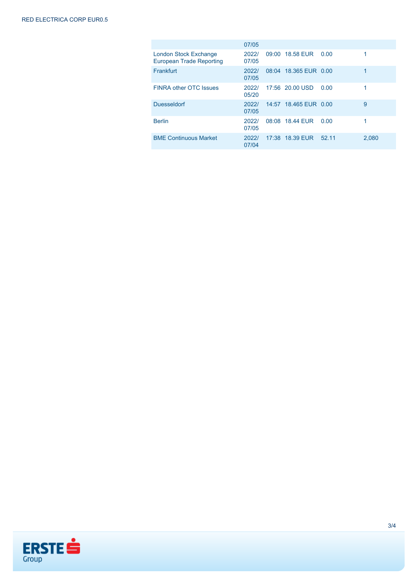|                                                                 | 07/05          |                       |      |       |
|-----------------------------------------------------------------|----------------|-----------------------|------|-------|
| <b>London Stock Exchange</b><br><b>European Trade Reporting</b> | 2022/<br>07/05 | 09:00 18.58 EUR       | 0.00 | 1     |
| Frankfurt                                                       | 2022/<br>07/05 | 08:04 18.365 EUR 0.00 |      |       |
| <b>FINRA other OTC Issues</b>                                   | 2022/<br>05/20 | 17:56 20.00 USD       | 0.00 |       |
| <b>Duesseldorf</b>                                              | 2022/<br>07/05 | 14:57 18.465 EUR 0.00 |      | 9     |
| <b>Berlin</b>                                                   | 2022/<br>07/05 | 08:08 18.44 EUR       | 0.00 |       |
| <b>BME Continuous Market</b>                                    | 2022/<br>07/04 | 17:38 18.39 EUR 52.11 |      | 2.080 |